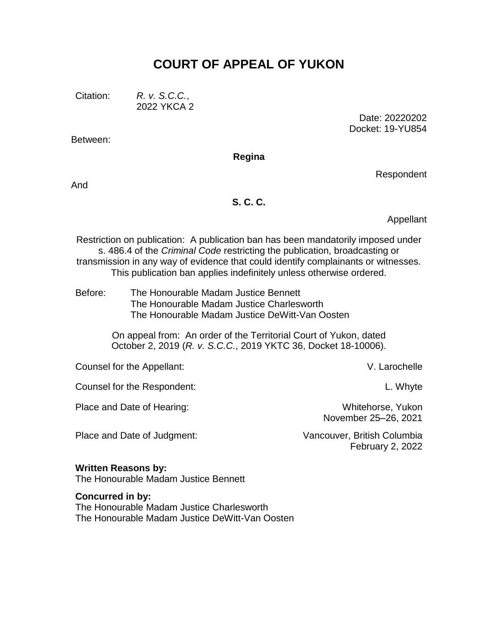# **COURT OF APPEAL OF YUKON**

Between:

Citation: *R. v. S.C.C.*, 2022 YKCA 2

> Date: 20220202 Docket: 19-YU854

**Regina**

And

#### **S. C. C.**

Appellant

Respondent

Restriction on publication: A publication ban has been mandatorily imposed under s. 486.4 of the *Criminal Code* restricting the publication, broadcasting or transmission in any way of evidence that could identify complainants or witnesses. This publication ban applies indefinitely unless otherwise ordered.

Before: The Honourable Madam Justice Bennett The Honourable Madam Justice Charlesworth The Honourable Madam Justice DeWitt-Van Oosten

> On appeal from: An order of the Territorial Court of Yukon, dated October 2, 2019 (*R. v. S.C.C.*, 2019 YKTC 36, Docket 18-10006).

Counsel for the Appellant: V. Larochelle

Counsel for the Respondent: L. Whyte

Place and Date of Hearing: Whitehorse, Yukon

November 25–26, 2021

Place and Date of Judgment: Vancouver, British Columbia

February 2, 2022

#### **Written Reasons by:**

The Honourable Madam Justice Bennett

#### **Concurred in by:**

The Honourable Madam Justice Charlesworth The Honourable Madam Justice DeWitt-Van Oosten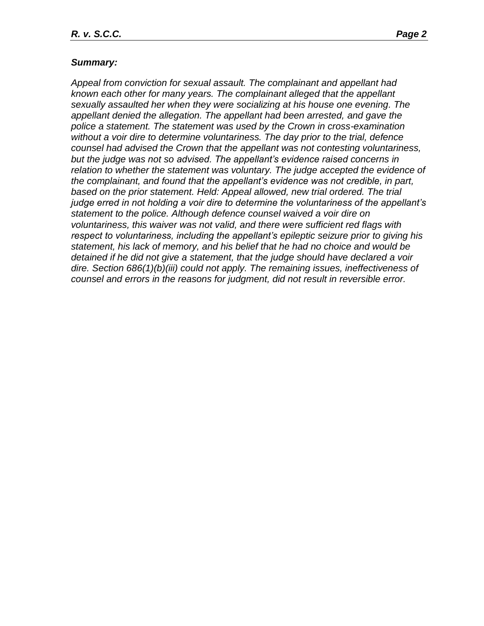#### *Summary:*

*Appeal from conviction for sexual assault. The complainant and appellant had known each other for many years. The complainant alleged that the appellant sexually assaulted her when they were socializing at his house one evening. The appellant denied the allegation. The appellant had been arrested, and gave the police a statement. The statement was used by the Crown in cross-examination without a voir dire to determine voluntariness. The day prior to the trial, defence counsel had advised the Crown that the appellant was not contesting voluntariness, but the judge was not so advised. The appellant's evidence raised concerns in relation to whether the statement was voluntary. The judge accepted the evidence of the complainant, and found that the appellant's evidence was not credible, in part,*  based on the prior statement. Held: Appeal allowed, new trial ordered. The trial *judge erred in not holding a voir dire to determine the voluntariness of the appellant's statement to the police. Although defence counsel waived a voir dire on voluntariness, this waiver was not valid, and there were sufficient red flags with respect to voluntariness, including the appellant's epileptic seizure prior to giving his statement, his lack of memory, and his belief that he had no choice and would be detained if he did not give a statement, that the judge should have declared a voir dire. Section 686(1)(b)(iii) could not apply. The remaining issues, ineffectiveness of counsel and errors in the reasons for judgment, did not result in reversible error.*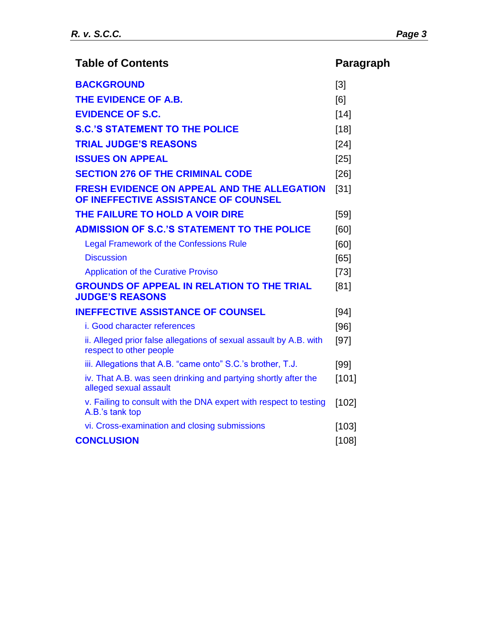| <b>Table of Contents</b>                                                                      | Paragraph |
|-----------------------------------------------------------------------------------------------|-----------|
| <b>BACKGROUND</b>                                                                             | [3]       |
| THE EVIDENCE OF A.B.                                                                          | [6]       |
| <b>EVIDENCE OF S.C.</b>                                                                       | $[14]$    |
| <b>S.C.'S STATEMENT TO THE POLICE</b>                                                         | $[18]$    |
| <b>TRIAL JUDGE'S REASONS</b>                                                                  | [24]      |
| <b>ISSUES ON APPEAL</b>                                                                       | $[25]$    |
| <b>SECTION 276 OF THE CRIMINAL CODE</b>                                                       | [26]      |
| <b>FRESH EVIDENCE ON APPEAL AND THE ALLEGATION</b><br>OF INEFFECTIVE ASSISTANCE OF COUNSEL    | $[31]$    |
| THE FAILURE TO HOLD A VOIR DIRE                                                               | $[59]$    |
| <b>ADMISSION OF S.C.'S STATEMENT TO THE POLICE</b>                                            | [60]      |
| <b>Legal Framework of the Confessions Rule</b>                                                | [60]      |
| <b>Discussion</b>                                                                             | [65]      |
| <b>Application of the Curative Proviso</b>                                                    | $[73]$    |
| <b>GROUNDS OF APPEAL IN RELATION TO THE TRIAL</b><br><b>JUDGE'S REASONS</b>                   | [81]      |
| <b>INEFFECTIVE ASSISTANCE OF COUNSEL</b>                                                      | [94]      |
| i. Good character references                                                                  | [96]      |
| ii. Alleged prior false allegations of sexual assault by A.B. with<br>respect to other people | $[97]$    |
| iii. Allegations that A.B. "came onto" S.C.'s brother, T.J.                                   | $[99]$    |
| iv. That A.B. was seen drinking and partying shortly after the<br>alleged sexual assault      | [101]     |
| v. Failing to consult with the DNA expert with respect to testing<br>A.B.'s tank top          | [102]     |
| vi. Cross-examination and closing submissions                                                 | [103]     |
| <b>CONCLUSION</b>                                                                             | [108]     |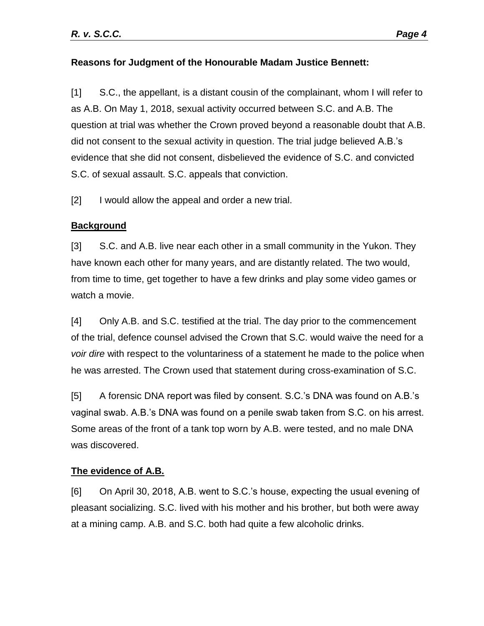# **Reasons for Judgment of the Honourable Madam Justice Bennett:**

[1] S.C., the appellant, is a distant cousin of the complainant, whom I will refer to as A.B. On May 1, 2018, sexual activity occurred between S.C. and A.B. The question at trial was whether the Crown proved beyond a reasonable doubt that A.B. did not consent to the sexual activity in question. The trial judge believed A.B.'s evidence that she did not consent, disbelieved the evidence of S.C. and convicted S.C. of sexual assault. S.C. appeals that conviction.

[2] I would allow the appeal and order a new trial.

# <span id="page-3-0"></span>**Background**

[3] S.C. and A.B. live near each other in a small community in the Yukon. They have known each other for many years, and are distantly related. The two would, from time to time, get together to have a few drinks and play some video games or watch a movie.

[4] Only A.B. and S.C. testified at the trial. The day prior to the commencement of the trial, defence counsel advised the Crown that S.C. would waive the need for a *voir dire* with respect to the voluntariness of a statement he made to the police when he was arrested. The Crown used that statement during cross-examination of S.C.

[5] A forensic DNA report was filed by consent. S.C.'s DNA was found on A.B.'s vaginal swab. A.B.'s DNA was found on a penile swab taken from S.C. on his arrest. Some areas of the front of a tank top worn by A.B. were tested, and no male DNA was discovered.

# <span id="page-3-1"></span>**The evidence of A.B.**

[6] On April 30, 2018, A.B. went to S.C.'s house, expecting the usual evening of pleasant socializing. S.C. lived with his mother and his brother, but both were away at a mining camp. A.B. and S.C. both had quite a few alcoholic drinks.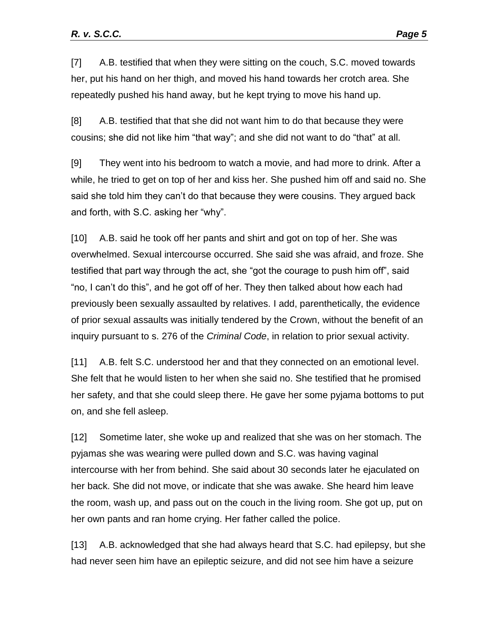[7] A.B. testified that when they were sitting on the couch, S.C. moved towards her, put his hand on her thigh, and moved his hand towards her crotch area. She repeatedly pushed his hand away, but he kept trying to move his hand up.

[8] A.B. testified that that she did not want him to do that because they were cousins; she did not like him "that way"; and she did not want to do "that" at all.

[9] They went into his bedroom to watch a movie, and had more to drink. After a while, he tried to get on top of her and kiss her. She pushed him off and said no. She said she told him they can't do that because they were cousins. They argued back and forth, with S.C. asking her "why".

[10] A.B. said he took off her pants and shirt and got on top of her. She was overwhelmed. Sexual intercourse occurred. She said she was afraid, and froze. She testified that part way through the act, she "got the courage to push him off", said "no, I can't do this", and he got off of her. They then talked about how each had previously been sexually assaulted by relatives. I add, parenthetically, the evidence of prior sexual assaults was initially tendered by the Crown, without the benefit of an inquiry pursuant to s. 276 of the *Criminal Code*, in relation to prior sexual activity.

[11] A.B. felt S.C. understood her and that they connected on an emotional level. She felt that he would listen to her when she said no. She testified that he promised her safety, and that she could sleep there. He gave her some pyjama bottoms to put on, and she fell asleep.

[12] Sometime later, she woke up and realized that she was on her stomach. The pyjamas she was wearing were pulled down and S.C. was having vaginal intercourse with her from behind. She said about 30 seconds later he ejaculated on her back. She did not move, or indicate that she was awake. She heard him leave the room, wash up, and pass out on the couch in the living room. She got up, put on her own pants and ran home crying. Her father called the police.

[13] A.B. acknowledged that she had always heard that S.C. had epilepsy, but she had never seen him have an epileptic seizure, and did not see him have a seizure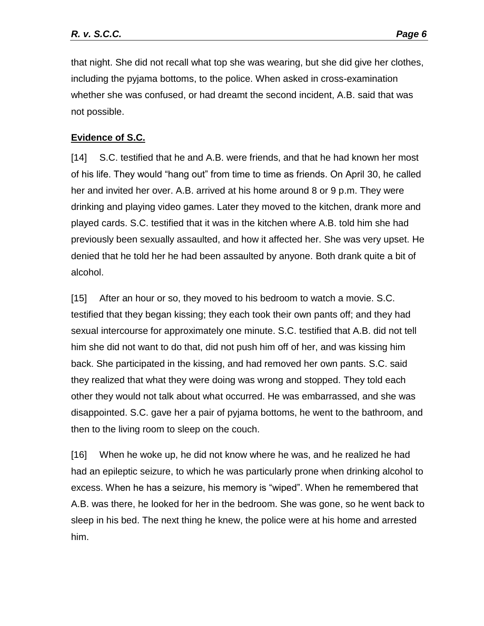that night. She did not recall what top she was wearing, but she did give her clothes, including the pyjama bottoms, to the police. When asked in cross-examination whether she was confused, or had dreamt the second incident, A.B. said that was not possible.

## <span id="page-5-0"></span>**Evidence of S.C.**

[14] S.C. testified that he and A.B. were friends, and that he had known her most of his life. They would "hang out" from time to time as friends. On April 30, he called her and invited her over. A.B. arrived at his home around 8 or 9 p.m. They were drinking and playing video games. Later they moved to the kitchen, drank more and played cards. S.C. testified that it was in the kitchen where A.B. told him she had previously been sexually assaulted, and how it affected her. She was very upset. He denied that he told her he had been assaulted by anyone. Both drank quite a bit of alcohol.

[15] After an hour or so, they moved to his bedroom to watch a movie. S.C. testified that they began kissing; they each took their own pants off; and they had sexual intercourse for approximately one minute. S.C. testified that A.B. did not tell him she did not want to do that, did not push him off of her, and was kissing him back. She participated in the kissing, and had removed her own pants. S.C. said they realized that what they were doing was wrong and stopped. They told each other they would not talk about what occurred. He was embarrassed, and she was disappointed. S.C. gave her a pair of pyjama bottoms, he went to the bathroom, and then to the living room to sleep on the couch.

[16] When he woke up, he did not know where he was, and he realized he had had an epileptic seizure, to which he was particularly prone when drinking alcohol to excess. When he has a seizure, his memory is "wiped". When he remembered that A.B. was there, he looked for her in the bedroom. She was gone, so he went back to sleep in his bed. The next thing he knew, the police were at his home and arrested him.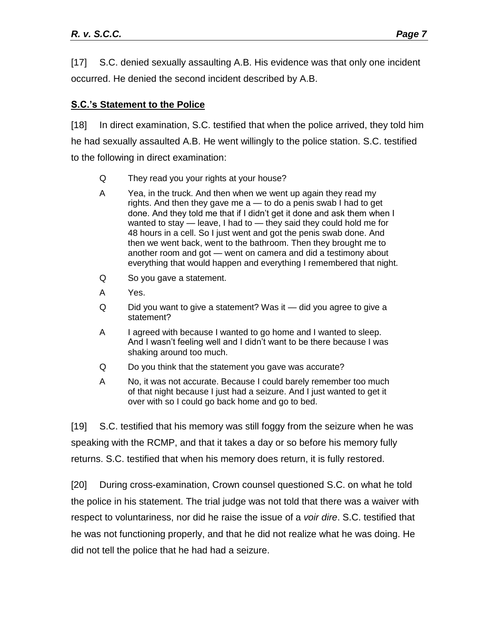[17] S.C. denied sexually assaulting A.B. His evidence was that only one incident occurred. He denied the second incident described by A.B.

# <span id="page-6-0"></span>**S.C.'s Statement to the Police**

[18] In direct examination, S.C. testified that when the police arrived, they told him he had sexually assaulted A.B. He went willingly to the police station. S.C. testified to the following in direct examination:

- Q They read you your rights at your house?
- A Yea, in the truck. And then when we went up again they read my rights. And then they gave me a — to do a penis swab I had to get done. And they told me that if I didn't get it done and ask them when I wanted to stay — leave, I had to — they said they could hold me for 48 hours in a cell. So I just went and got the penis swab done. And then we went back, went to the bathroom. Then they brought me to another room and got — went on camera and did a testimony about everything that would happen and everything I remembered that night.
- Q So you gave a statement.
- A Yes.
- Q Did you want to give a statement? Was it did you agree to give a statement?
- A I agreed with because I wanted to go home and I wanted to sleep. And I wasn't feeling well and I didn't want to be there because I was shaking around too much.
- Q Do you think that the statement you gave was accurate?
- A No, it was not accurate. Because I could barely remember too much of that night because I just had a seizure. And I just wanted to get it over with so I could go back home and go to bed.

[19] S.C. testified that his memory was still foggy from the seizure when he was speaking with the RCMP, and that it takes a day or so before his memory fully returns. S.C. testified that when his memory does return, it is fully restored.

[20] During cross-examination, Crown counsel questioned S.C. on what he told the police in his statement. The trial judge was not told that there was a waiver with respect to voluntariness, nor did he raise the issue of a *voir dire*. S.C. testified that he was not functioning properly, and that he did not realize what he was doing. He did not tell the police that he had had a seizure.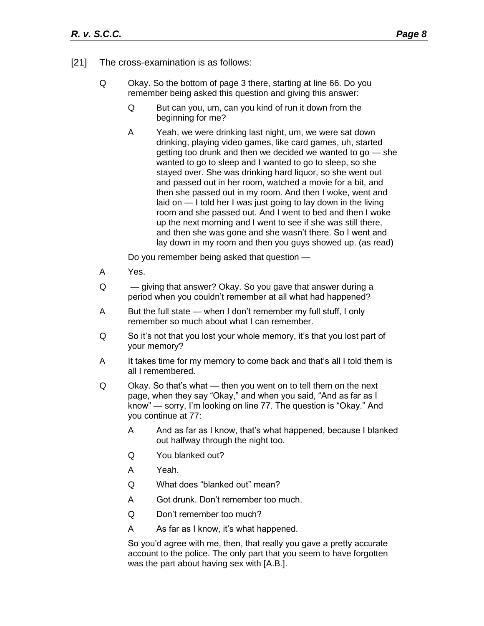- [21] The cross-examination is as follows:
	- Q Okay. So the bottom of page 3 there, starting at line 66. Do you remember being asked this question and giving this answer:
		- Q But can you, um, can you kind of run it down from the beginning for me?
		- A Yeah, we were drinking last night, um, we were sat down drinking, playing video games, like card games, uh, started getting too drunk and then we decided we wanted to go — she wanted to go to sleep and I wanted to go to sleep, so she stayed over. She was drinking hard liquor, so she went out and passed out in her room, watched a movie for a bit, and then she passed out in my room. And then I woke, went and laid on — I told her I was just going to lay down in the living room and she passed out. And I went to bed and then I woke up the next morning and I went to see if she was still there, and then she was gone and she wasn't there. So I went and lay down in my room and then you guys showed up. (as read)

Do you remember being asked that question —

- A Yes.
- Q giving that answer? Okay. So you gave that answer during a period when you couldn't remember at all what had happened?
- A But the full state when I don't remember my full stuff, I only remember so much about what I can remember.
- Q So it's not that you lost your whole memory, it's that you lost part of your memory?
- A It takes time for my memory to come back and that's all I told them is all I remembered.
- Q Okay. So that's what then you went on to tell them on the next page, when they say "Okay," and when you said, "And as far as I know" — sorry, I'm looking on line 77. The question is "Okay." And you continue at 77:
	- A And as far as I know, that's what happened, because I blanked out halfway through the night too.
	- Q You blanked out?
	- A Yeah.
	- Q What does "blanked out" mean?
	- A Got drunk. Don't remember too much.
	- Q Don't remember too much?
	- A As far as I know, it's what happened.

So you'd agree with me, then, that really you gave a pretty accurate account to the police. The only part that you seem to have forgotten was the part about having sex with [A.B.].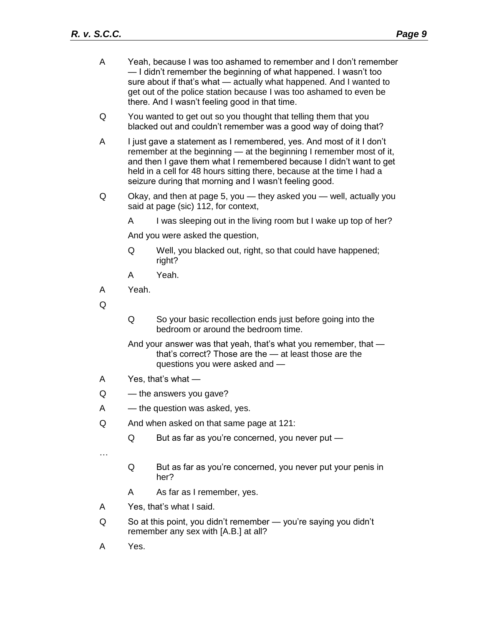| A | Yeah, because I was too ashamed to remember and I don't remember<br>— I didn't remember the beginning of what happened. I wasn't too<br>sure about if that's what - actually what happened. And I wanted to<br>get out of the police station because I was too ashamed to even be<br>there. And I wasn't feeling good in that time.                    |                                                                                                                                                             |  |
|---|--------------------------------------------------------------------------------------------------------------------------------------------------------------------------------------------------------------------------------------------------------------------------------------------------------------------------------------------------------|-------------------------------------------------------------------------------------------------------------------------------------------------------------|--|
| Q | You wanted to get out so you thought that telling them that you<br>blacked out and couldn't remember was a good way of doing that?                                                                                                                                                                                                                     |                                                                                                                                                             |  |
| A | I just gave a statement as I remembered, yes. And most of it I don't<br>remember at the beginning - at the beginning I remember most of it,<br>and then I gave them what I remembered because I didn't want to get<br>held in a cell for 48 hours sitting there, because at the time I had a<br>seizure during that morning and I wasn't feeling good. |                                                                                                                                                             |  |
| Q | Okay, and then at page 5, you — they asked you — well, actually you<br>said at page (sic) 112, for context,                                                                                                                                                                                                                                            |                                                                                                                                                             |  |
|   | A                                                                                                                                                                                                                                                                                                                                                      | I was sleeping out in the living room but I wake up top of her?                                                                                             |  |
|   | And you were asked the question,                                                                                                                                                                                                                                                                                                                       |                                                                                                                                                             |  |
|   | Q                                                                                                                                                                                                                                                                                                                                                      | Well, you blacked out, right, so that could have happened;<br>right?                                                                                        |  |
|   | A                                                                                                                                                                                                                                                                                                                                                      | Yeah.                                                                                                                                                       |  |
| A | Yeah.                                                                                                                                                                                                                                                                                                                                                  |                                                                                                                                                             |  |
| Q |                                                                                                                                                                                                                                                                                                                                                        |                                                                                                                                                             |  |
|   | Q                                                                                                                                                                                                                                                                                                                                                      | So your basic recollection ends just before going into the<br>bedroom or around the bedroom time.                                                           |  |
|   |                                                                                                                                                                                                                                                                                                                                                        | And your answer was that yeah, that's what you remember, that -<br>that's correct? Those are the - at least those are the<br>questions you were asked and - |  |
| A | Yes, that's what -                                                                                                                                                                                                                                                                                                                                     |                                                                                                                                                             |  |
| Q | - the answers you gave?                                                                                                                                                                                                                                                                                                                                |                                                                                                                                                             |  |
| A | — the question was asked, yes.                                                                                                                                                                                                                                                                                                                         |                                                                                                                                                             |  |
| Q |                                                                                                                                                                                                                                                                                                                                                        | And when asked on that same page at 121:                                                                                                                    |  |
|   | Q                                                                                                                                                                                                                                                                                                                                                      | But as far as you're concerned, you never put -                                                                                                             |  |
|   |                                                                                                                                                                                                                                                                                                                                                        |                                                                                                                                                             |  |
|   | Q                                                                                                                                                                                                                                                                                                                                                      | But as far as you're concerned, you never put your penis in<br>her?                                                                                         |  |
|   | A                                                                                                                                                                                                                                                                                                                                                      | As far as I remember, yes.                                                                                                                                  |  |
| A |                                                                                                                                                                                                                                                                                                                                                        | Yes, that's what I said.                                                                                                                                    |  |
| Q | So at this point, you didn't remember - you're saying you didn't<br>remember any sex with [A.B.] at all?                                                                                                                                                                                                                                               |                                                                                                                                                             |  |
|   |                                                                                                                                                                                                                                                                                                                                                        |                                                                                                                                                             |  |

A Yes.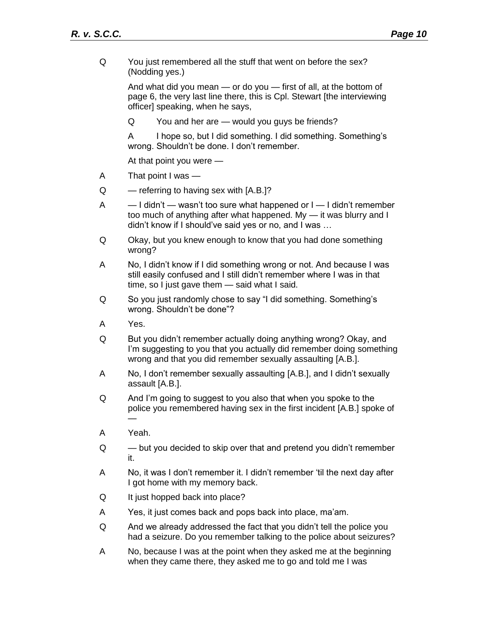Q You just remembered all the stuff that went on before the sex? (Nodding yes.)

> And what did you mean — or do you — first of all, at the bottom of page 6, the very last line there, this is Cpl. Stewart [the interviewing officer] speaking, when he says,

Q You and her are — would you guys be friends?

A I hope so, but I did something. I did something. Something's wrong. Shouldn't be done. I don't remember.

At that point you were —

- A That point I was —
- $Q \rightarrow$  referring to having sex with  $[A.B.]$ ?
- $A = -1$  didn't wasn't too sure what happened or  $I I$  didn't remember too much of anything after what happened. My — it was blurry and I didn't know if I should've said yes or no, and I was …
- Q Okay, but you knew enough to know that you had done something wrong?
- A No, I didn't know if I did something wrong or not. And because I was still easily confused and I still didn't remember where I was in that time, so I just gave them — said what I said.
- Q So you just randomly chose to say "I did something. Something's wrong. Shouldn't be done"?
- A Yes.
- Q But you didn't remember actually doing anything wrong? Okay, and I'm suggesting to you that you actually did remember doing something wrong and that you did remember sexually assaulting [A.B.].
- A No, I don't remember sexually assaulting [A.B.], and I didn't sexually assault [A.B.].
- Q And I'm going to suggest to you also that when you spoke to the police you remembered having sex in the first incident [A.B.] spoke of —
- A Yeah.
- Q but you decided to skip over that and pretend you didn't remember it.
- A No, it was I don't remember it. I didn't remember 'til the next day after I got home with my memory back.
- Q It just hopped back into place?
- A Yes, it just comes back and pops back into place, ma'am.
- Q And we already addressed the fact that you didn't tell the police you had a seizure. Do you remember talking to the police about seizures?
- A No, because I was at the point when they asked me at the beginning when they came there, they asked me to go and told me I was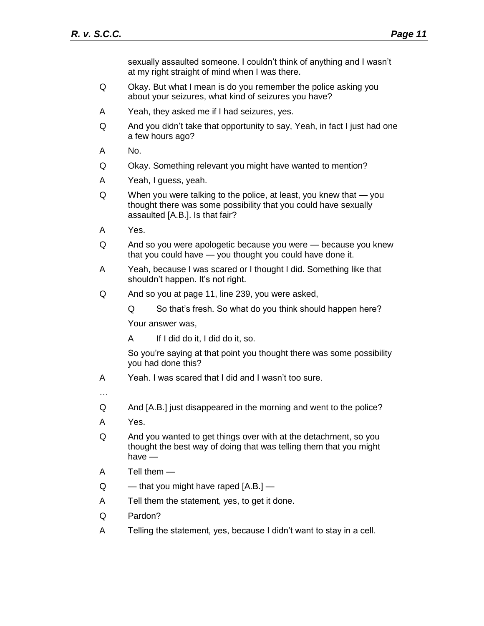sexually assaulted someone. I couldn't think of anything and I wasn't at my right straight of mind when I was there.

- Q Okay. But what I mean is do you remember the police asking you about your seizures, what kind of seizures you have?
- A Yeah, they asked me if I had seizures, yes.
- Q And you didn't take that opportunity to say, Yeah, in fact I just had one a few hours ago?
- A No.
- Q Okay. Something relevant you might have wanted to mention?
- A Yeah, I guess, yeah.
- Q When you were talking to the police, at least, you knew that you thought there was some possibility that you could have sexually assaulted [A.B.]. Is that fair?
- A Yes.
- Q And so you were apologetic because you were because you knew that you could have — you thought you could have done it.
- A Yeah, because I was scared or I thought I did. Something like that shouldn't happen. It's not right.
- Q And so you at page 11, line 239, you were asked,
	- Q So that's fresh. So what do you think should happen here?

Your answer was,

A If I did do it, I did do it, so.

So you're saying at that point you thought there was some possibility you had done this?

- A Yeah. I was scared that I did and I wasn't too sure.
- …
- Q And [A.B.] just disappeared in the morning and went to the police?
- A Yes.
- Q And you wanted to get things over with at the detachment, so you thought the best way of doing that was telling them that you might have —
- A Tell them —
- $Q \longrightarrow$  that you might have raped  $[A.B.]$  —
- A Tell them the statement, yes, to get it done.
- Q Pardon?
- A Telling the statement, yes, because I didn't want to stay in a cell.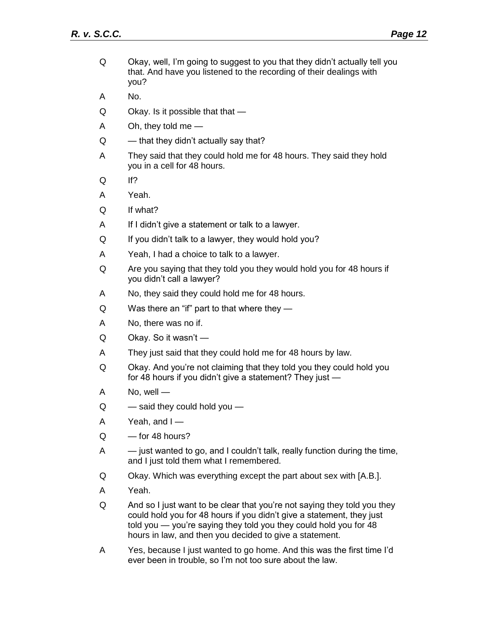- Q Okay, well, I'm going to suggest to you that they didn't actually tell you that. And have you listened to the recording of their dealings with you?
- A No.
- $Q$  Okay. Is it possible that that  $-$
- A Oh, they told me —
- $Q \longrightarrow$  that they didn't actually say that?
- A They said that they could hold me for 48 hours. They said they hold you in a cell for 48 hours.
- Q If?
- A Yeah.
- Q If what?
- A If I didn't give a statement or talk to a lawyer.
- Q If you didn't talk to a lawyer, they would hold you?
- A Yeah, I had a choice to talk to a lawyer.
- Q Are you saying that they told you they would hold you for 48 hours if you didn't call a lawyer?
- A No, they said they could hold me for 48 hours.
- Q Was there an "if" part to that where they —
- A No, there was no if.
- Q Okay. So it wasn't —
- A They just said that they could hold me for 48 hours by law.
- Q Okay. And you're not claiming that they told you they could hold you for 48 hours if you didn't give a statement? They just —
- A No, well —
- $Q \longrightarrow$  said they could hold you  $-$
- A Yeah, and I —
- $Q =$  for 48 hours?
- A just wanted to go, and I couldn't talk, really function during the time, and I just told them what I remembered.
- Q Okay. Which was everything except the part about sex with [A.B.].
- A Yeah.
- Q And so I just want to be clear that you're not saying they told you they could hold you for 48 hours if you didn't give a statement, they just told you — you're saying they told you they could hold you for 48 hours in law, and then you decided to give a statement.
- A Yes, because I just wanted to go home. And this was the first time I'd ever been in trouble, so I'm not too sure about the law.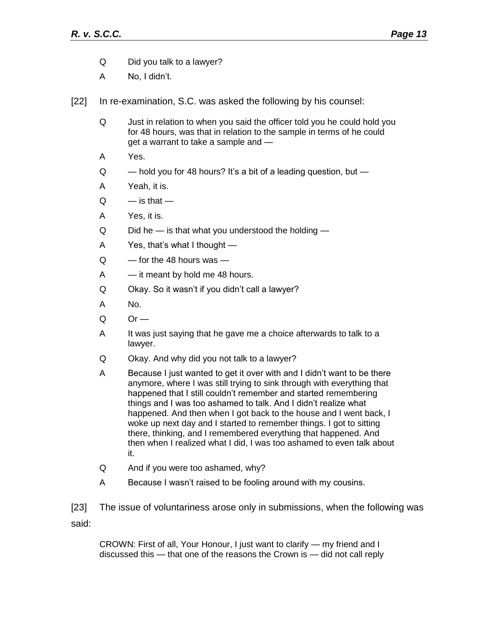- Q Did you talk to a lawyer?
- A No, I didn't.

[22] In re-examination, S.C. was asked the following by his counsel:

- Q Just in relation to when you said the officer told you he could hold you for 48 hours, was that in relation to the sample in terms of he could get a warrant to take a sample and —
- A Yes.
- $Q \sim$  hold you for 48 hours? It's a bit of a leading question, but  $-$
- A Yeah, it is.
- $Q =$  is that  $-$
- A Yes, it is.
- $Q$  Did he  $-$  is that what you understood the holding  $-$
- A Yes, that's what I thought —
- Q for the 48 hours was —
- A it meant by hold me 48 hours.
- Q Okay. So it wasn't if you didn't call a lawyer?
- A No.
- $Q = Qr$
- A It was just saying that he gave me a choice afterwards to talk to a lawyer.
- Q Okay. And why did you not talk to a lawyer?
- A Because I just wanted to get it over with and I didn't want to be there anymore, where I was still trying to sink through with everything that happened that I still couldn't remember and started remembering things and I was too ashamed to talk. And I didn't realize what happened. And then when I got back to the house and I went back, I woke up next day and I started to remember things. I got to sitting there, thinking, and I remembered everything that happened. And then when I realized what I did, I was too ashamed to even talk about it.
- Q And if you were too ashamed, why?
- A Because I wasn't raised to be fooling around with my cousins.

[23] The issue of voluntariness arose only in submissions, when the following was said:

CROWN: First of all, Your Honour, I just want to clarify — my friend and I discussed this — that one of the reasons the Crown is — did not call reply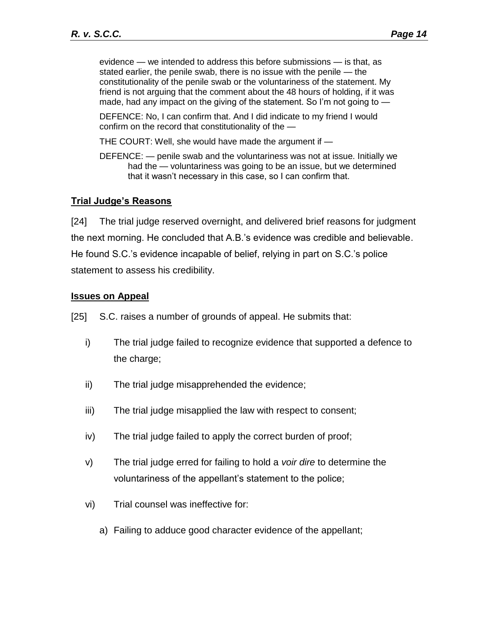evidence — we intended to address this before submissions — is that, as stated earlier, the penile swab, there is no issue with the penile — the constitutionality of the penile swab or the voluntariness of the statement. My friend is not arguing that the comment about the 48 hours of holding, if it was made, had any impact on the giving of the statement. So I'm not going to —

DEFENCE: No, I can confirm that. And I did indicate to my friend I would confirm on the record that constitutionality of the —

THE COURT: Well, she would have made the argument if —

DEFENCE: — penile swab and the voluntariness was not at issue. Initially we had the — voluntariness was going to be an issue, but we determined that it wasn't necessary in this case, so I can confirm that.

#### <span id="page-13-0"></span>**Trial Judge's Reasons**

[24] The trial judge reserved overnight, and delivered brief reasons for judgment the next morning. He concluded that A.B.'s evidence was credible and believable. He found S.C.'s evidence incapable of belief, relying in part on S.C.'s police statement to assess his credibility.

#### <span id="page-13-1"></span>**Issues on Appeal**

[25] S.C. raises a number of grounds of appeal. He submits that:

- i) The trial judge failed to recognize evidence that supported a defence to the charge;
- ii) The trial judge misapprehended the evidence;
- iii) The trial judge misapplied the law with respect to consent;
- iv) The trial judge failed to apply the correct burden of proof;
- v) The trial judge erred for failing to hold a *voir dire* to determine the voluntariness of the appellant's statement to the police;
- vi) Trial counsel was ineffective for:
	- a) Failing to adduce good character evidence of the appellant;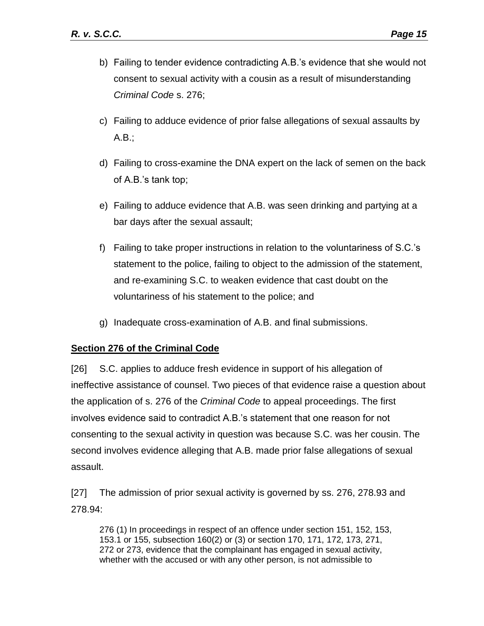- b) Failing to tender evidence contradicting A.B.'s evidence that she would not consent to sexual activity with a cousin as a result of misunderstanding *Criminal Code* s. 276;
- c) Failing to adduce evidence of prior false allegations of sexual assaults by A.B.;
- d) Failing to cross-examine the DNA expert on the lack of semen on the back of A.B.'s tank top;
- e) Failing to adduce evidence that A.B. was seen drinking and partying at a bar days after the sexual assault;
- f) Failing to take proper instructions in relation to the voluntariness of S.C.'s statement to the police, failing to object to the admission of the statement, and re-examining S.C. to weaken evidence that cast doubt on the voluntariness of his statement to the police; and
- g) Inadequate cross-examination of A.B. and final submissions.

## <span id="page-14-0"></span>**Section 276 of the Criminal Code**

[26] S.C. applies to adduce fresh evidence in support of his allegation of ineffective assistance of counsel. Two pieces of that evidence raise a question about the application of s. 276 of the *Criminal Code* to appeal proceedings. The first involves evidence said to contradict A.B.'s statement that one reason for not consenting to the sexual activity in question was because S.C. was her cousin. The second involves evidence alleging that A.B. made prior false allegations of sexual assault.

[27] The admission of prior sexual activity is governed by ss. 276, 278.93 and 278.94:

276 (1) In proceedings in respect of an offence under section 151, 152, 153, 153.1 or 155, subsection 160(2) or (3) or section 170, 171, 172, 173, 271, 272 or 273, evidence that the complainant has engaged in sexual activity, whether with the accused or with any other person, is not admissible to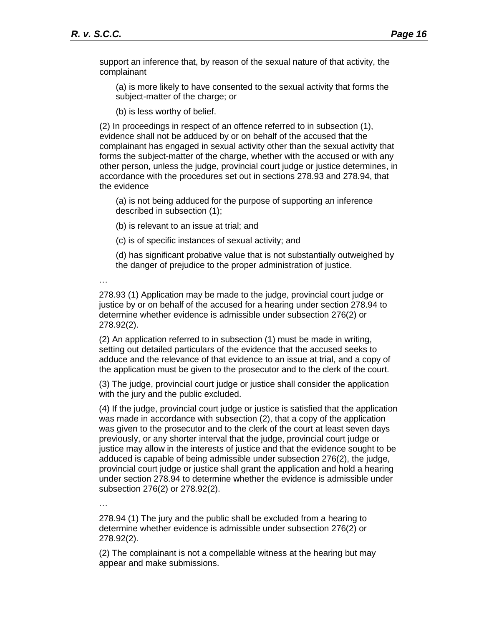support an inference that, by reason of the sexual nature of that activity, the complainant

(a) is more likely to have consented to the sexual activity that forms the subject-matter of the charge; or

(b) is less worthy of belief.

(2) In proceedings in respect of an offence referred to in subsection (1), evidence shall not be adduced by or on behalf of the accused that the complainant has engaged in sexual activity other than the sexual activity that forms the subject-matter of the charge, whether with the accused or with any other person, unless the judge, provincial court judge or justice determines, in accordance with the procedures set out in sections 278.93 and 278.94, that the evidence

(a) is not being adduced for the purpose of supporting an inference described in subsection (1);

(b) is relevant to an issue at trial; and

(c) is of specific instances of sexual activity; and

(d) has significant probative value that is not substantially outweighed by the danger of prejudice to the proper administration of justice.

…

278.93 (1) Application may be made to the judge, provincial court judge or justice by or on behalf of the accused for a hearing under section 278.94 to determine whether evidence is admissible under subsection 276(2) or 278.92(2).

(2) An application referred to in subsection (1) must be made in writing, setting out detailed particulars of the evidence that the accused seeks to adduce and the relevance of that evidence to an issue at trial, and a copy of the application must be given to the prosecutor and to the clerk of the court.

(3) The judge, provincial court judge or justice shall consider the application with the jury and the public excluded.

(4) If the judge, provincial court judge or justice is satisfied that the application was made in accordance with subsection (2), that a copy of the application was given to the prosecutor and to the clerk of the court at least seven days previously, or any shorter interval that the judge, provincial court judge or justice may allow in the interests of justice and that the evidence sought to be adduced is capable of being admissible under subsection 276(2), the judge, provincial court judge or justice shall grant the application and hold a hearing under section 278.94 to determine whether the evidence is admissible under subsection 276(2) or 278.92(2).

…

278.94 (1) The jury and the public shall be excluded from a hearing to determine whether evidence is admissible under subsection 276(2) or 278.92(2).

(2) The complainant is not a compellable witness at the hearing but may appear and make submissions.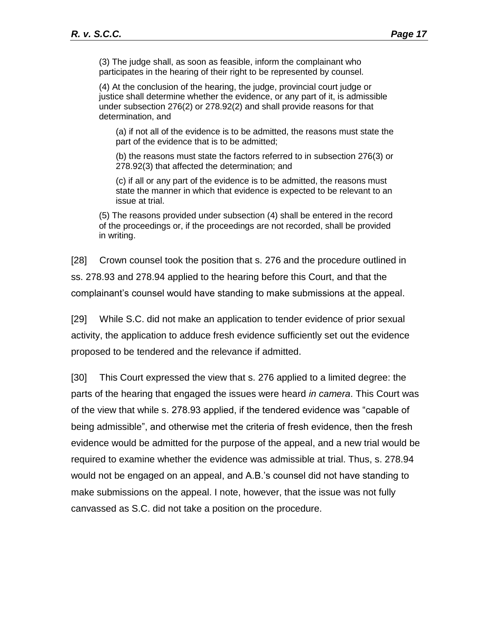(3) The judge shall, as soon as feasible, inform the complainant who participates in the hearing of their right to be represented by counsel.

(4) At the conclusion of the hearing, the judge, provincial court judge or justice shall determine whether the evidence, or any part of it, is admissible under subsection 276(2) or 278.92(2) and shall provide reasons for that determination, and

(a) if not all of the evidence is to be admitted, the reasons must state the part of the evidence that is to be admitted;

(b) the reasons must state the factors referred to in subsection 276(3) or 278.92(3) that affected the determination; and

(c) if all or any part of the evidence is to be admitted, the reasons must state the manner in which that evidence is expected to be relevant to an issue at trial.

(5) The reasons provided under subsection (4) shall be entered in the record of the proceedings or, if the proceedings are not recorded, shall be provided in writing.

[28] Crown counsel took the position that s. 276 and the procedure outlined in ss. 278.93 and 278.94 applied to the hearing before this Court, and that the complainant's counsel would have standing to make submissions at the appeal.

[29] While S.C. did not make an application to tender evidence of prior sexual activity, the application to adduce fresh evidence sufficiently set out the evidence proposed to be tendered and the relevance if admitted.

[30] This Court expressed the view that s. 276 applied to a limited degree: the parts of the hearing that engaged the issues were heard *in camera*. This Court was of the view that while s. 278.93 applied, if the tendered evidence was "capable of being admissible", and otherwise met the criteria of fresh evidence, then the fresh evidence would be admitted for the purpose of the appeal, and a new trial would be required to examine whether the evidence was admissible at trial. Thus, s. 278.94 would not be engaged on an appeal, and A.B.'s counsel did not have standing to make submissions on the appeal. I note, however, that the issue was not fully canvassed as S.C. did not take a position on the procedure.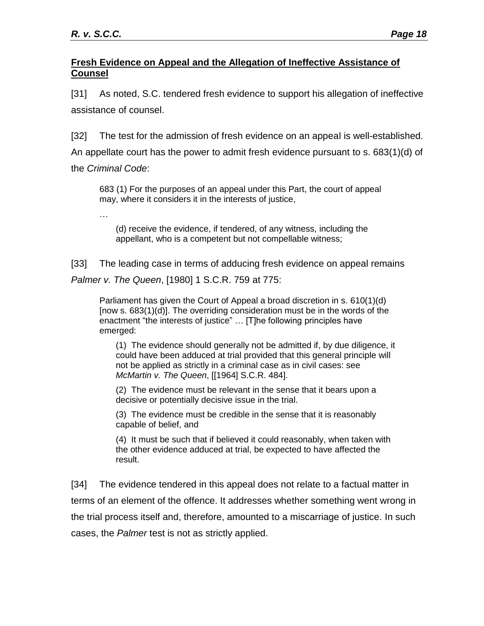…

## <span id="page-17-0"></span>**Fresh Evidence on Appeal and the Allegation of Ineffective Assistance of Counsel**

[31] As noted, S.C. tendered fresh evidence to support his allegation of ineffective assistance of counsel.

[32] The test for the admission of fresh evidence on an appeal is well-established. An appellate court has the power to admit fresh evidence pursuant to s. 683(1)(d) of the *Criminal Code*:

683 (1) For the purposes of an appeal under this Part, the court of appeal may, where it considers it in the interests of justice,

(d) receive the evidence, if tendered, of any witness, including the appellant, who is a competent but not compellable witness;

[33] The leading case in terms of adducing fresh evidence on appeal remains *Palmer v. The Queen*, [1980] 1 S.C.R. 759 at 775:

Parliament has given the Court of Appeal a broad discretion in s. 610(1)(d) [now s. 683(1)(d)]. The overriding consideration must be in the words of the enactment "the interests of justice" … [T]he following principles have emerged:

(1) The evidence should generally not be admitted if, by due diligence, it could have been adduced at trial provided that this general principle will not be applied as strictly in a criminal case as in civil cases: see *McMartin v. The Queen*, [[1964] S.C.R. 484].

(2) The evidence must be relevant in the sense that it bears upon a decisive or potentially decisive issue in the trial.

(3) The evidence must be credible in the sense that it is reasonably capable of belief, and

(4) It must be such that if believed it could reasonably, when taken with the other evidence adduced at trial, be expected to have affected the result.

[34] The evidence tendered in this appeal does not relate to a factual matter in terms of an element of the offence. It addresses whether something went wrong in the trial process itself and, therefore, amounted to a miscarriage of justice. In such cases, the *Palmer* test is not as strictly applied.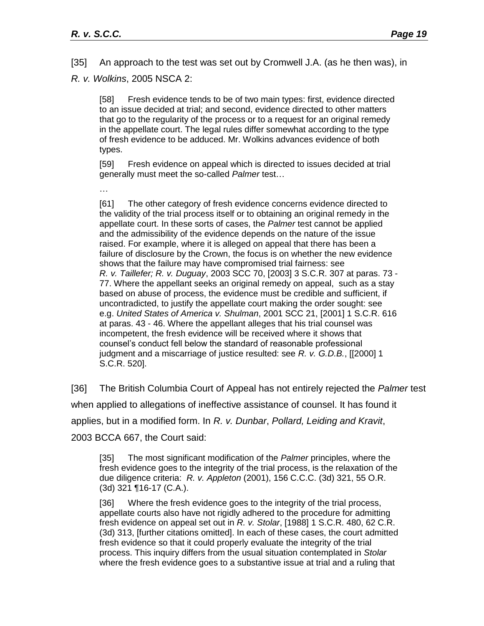[35] An approach to the test was set out by Cromwell J.A. (as he then was), in *R. v. Wolkins*, 2005 NSCA 2:

[58] Fresh evidence tends to be of two main types: first, evidence directed to an issue decided at trial; and second, evidence directed to other matters that go to the regularity of the process or to a request for an original remedy in the appellate court. The legal rules differ somewhat according to the type of fresh evidence to be adduced. Mr. Wolkins advances evidence of both types.

[59] Fresh evidence on appeal which is directed to issues decided at trial generally must meet the so-called *Palmer* test…

…

[61] The other category of fresh evidence concerns evidence directed to the validity of the trial process itself or to obtaining an original remedy in the appellate court. In these sorts of cases, the *Palmer* test cannot be applied and the admissibility of the evidence depends on the nature of the issue raised. For example, where it is alleged on appeal that there has been a failure of disclosure by the Crown, the focus is on whether the new evidence shows that the failure may have compromised trial fairness: see *R. v. Taillefer; R. v. Duguay*, 2003 SCC 70, [2003] 3 S.C.R. 307 at paras. 73 - 77. Where the appellant seeks an original remedy on appeal, such as a stay based on abuse of process, the evidence must be credible and sufficient, if uncontradicted, to justify the appellate court making the order sought: see e.g. *United States of America v. Shulman*, 2001 SCC 21, [2001] 1 S.C.R. 616 at paras. 43 - 46. Where the appellant alleges that his trial counsel was incompetent, the fresh evidence will be received where it shows that counsel's conduct fell below the standard of reasonable professional judgment and a miscarriage of justice resulted: see *R. v. G.D.B.*, [[2000] 1 S.C.R. 520].

[36] The British Columbia Court of Appeal has not entirely rejected the *Palmer* test when applied to allegations of ineffective assistance of counsel. It has found it applies, but in a modified form. In *R. v. Dunbar*, *Pollard, Leiding and Kravit*, 2003 BCCA 667, the Court said:

[35] The most significant modification of the *Palmer* principles, where the fresh evidence goes to the integrity of the trial process, is the relaxation of the due diligence criteria: *R. v. Appleton* (2001), 156 C.C.C. (3d) 321, 55 O.R. (3d) 321 ¶16-17 (C.A.).

[36] Where the fresh evidence goes to the integrity of the trial process, appellate courts also have not rigidly adhered to the procedure for admitting fresh evidence on appeal set out in *R. v. Stolar*, [1988] 1 S.C.R. 480, 62 C.R. (3d) 313, [further citations omitted]. In each of these cases, the court admitted fresh evidence so that it could properly evaluate the integrity of the trial process. This inquiry differs from the usual situation contemplated in *Stolar* where the fresh evidence goes to a substantive issue at trial and a ruling that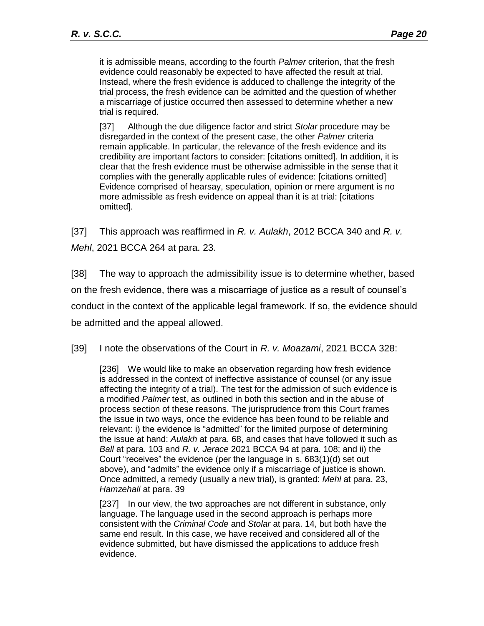it is admissible means, according to the fourth *Palmer* criterion, that the fresh evidence could reasonably be expected to have affected the result at trial. Instead, where the fresh evidence is adduced to challenge the integrity of the trial process, the fresh evidence can be admitted and the question of whether a miscarriage of justice occurred then assessed to determine whether a new trial is required.

[37] Although the due diligence factor and strict *Stolar* procedure may be disregarded in the context of the present case, the other *Palmer* criteria remain applicable. In particular, the relevance of the fresh evidence and its credibility are important factors to consider: [citations omitted]. In addition, it is clear that the fresh evidence must be otherwise admissible in the sense that it complies with the generally applicable rules of evidence: [citations omitted] Evidence comprised of hearsay, speculation, opinion or mere argument is no more admissible as fresh evidence on appeal than it is at trial: [citations omitted].

[37] This approach was reaffirmed in *R. v. Aulakh*, 2012 BCCA 340 and *R. v. Mehl*, 2021 BCCA 264 at para. 23.

[38] The way to approach the admissibility issue is to determine whether, based on the fresh evidence, there was a miscarriage of justice as a result of counsel's conduct in the context of the applicable legal framework. If so, the evidence should be admitted and the appeal allowed.

[39] I note the observations of the Court in *R. v. Moazami*, 2021 BCCA 328:

[236] We would like to make an observation regarding how fresh evidence is addressed in the context of ineffective assistance of counsel (or any issue affecting the integrity of a trial). The test for the admission of such evidence is a modified *Palmer* test, as outlined in both this section and in the abuse of process section of these reasons. The jurisprudence from this Court frames the issue in two ways, once the evidence has been found to be reliable and relevant: i) the evidence is "admitted" for the limited purpose of determining the issue at hand: *Aulakh* at para. 68, and cases that have followed it such as *Ball* at para. 103 and *R. v. Jerace* 2021 BCCA 94 at para. 108; and ii) the Court "receives" the evidence (per the language in s. 683(1)(d) set out above), and "admits" the evidence only if a miscarriage of justice is shown. Once admitted, a remedy (usually a new trial), is granted: *Mehl* at para. 23, *Hamzehali* at para. 39

[237] In our view, the two approaches are not different in substance, only language. The language used in the second approach is perhaps more consistent with the *Criminal Code* and *Stolar* at para. 14, but both have the same end result. In this case, we have received and considered all of the evidence submitted, but have dismissed the applications to adduce fresh evidence.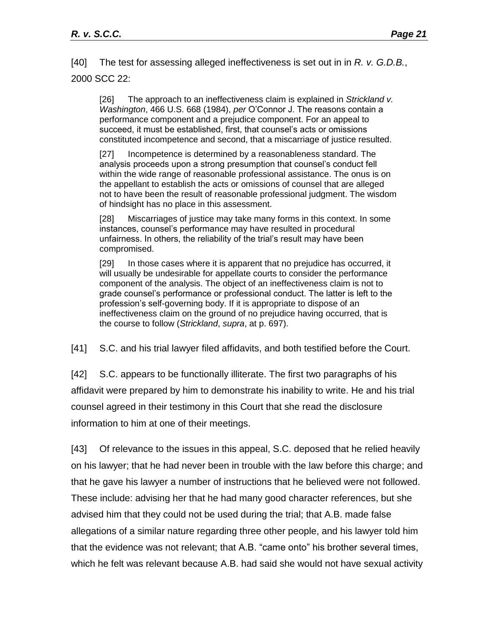[40] The test for assessing alleged ineffectiveness is set out in in *R. v. G.D.B.*, 2000 SCC 22:

[26] The approach to an ineffectiveness claim is explained in *Strickland v. Washington*, 466 U.S. 668 (1984), *per* O'Connor J. The reasons contain a performance component and a prejudice component. For an appeal to succeed, it must be established, first, that counsel's acts or omissions constituted incompetence and second, that a miscarriage of justice resulted.

[27] Incompetence is determined by a reasonableness standard. The analysis proceeds upon a strong presumption that counsel's conduct fell within the wide range of reasonable professional assistance. The onus is on the appellant to establish the acts or omissions of counsel that are alleged not to have been the result of reasonable professional judgment. The wisdom of hindsight has no place in this assessment.

[28] Miscarriages of justice may take many forms in this context. In some instances, counsel's performance may have resulted in procedural unfairness. In others, the reliability of the trial's result may have been compromised.

[29] In those cases where it is apparent that no prejudice has occurred, it will usually be undesirable for appellate courts to consider the performance component of the analysis. The object of an ineffectiveness claim is not to grade counsel's performance or professional conduct. The latter is left to the profession's self-governing body. If it is appropriate to dispose of an ineffectiveness claim on the ground of no prejudice having occurred, that is the course to follow (*Strickland*, *supra*, at p. 697).

[41] S.C. and his trial lawyer filed affidavits, and both testified before the Court.

[42] S.C. appears to be functionally illiterate. The first two paragraphs of his affidavit were prepared by him to demonstrate his inability to write. He and his trial counsel agreed in their testimony in this Court that she read the disclosure information to him at one of their meetings.

[43] Of relevance to the issues in this appeal, S.C. deposed that he relied heavily on his lawyer; that he had never been in trouble with the law before this charge; and that he gave his lawyer a number of instructions that he believed were not followed. These include: advising her that he had many good character references, but she advised him that they could not be used during the trial; that A.B. made false allegations of a similar nature regarding three other people, and his lawyer told him that the evidence was not relevant; that A.B. "came onto" his brother several times, which he felt was relevant because A.B. had said she would not have sexual activity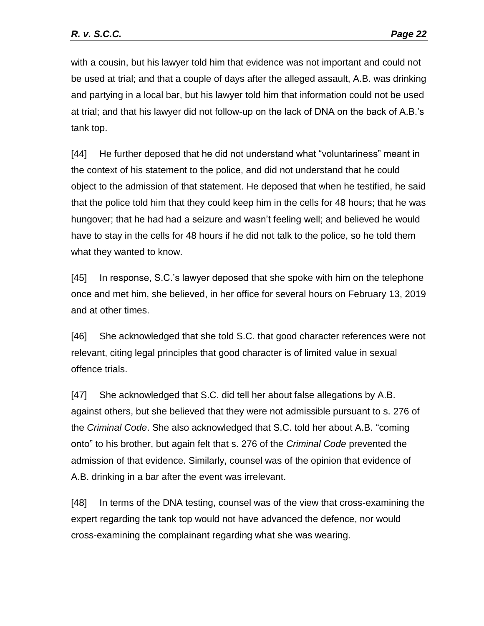with a cousin, but his lawyer told him that evidence was not important and could not be used at trial; and that a couple of days after the alleged assault, A.B. was drinking and partying in a local bar, but his lawyer told him that information could not be used at trial; and that his lawyer did not follow-up on the lack of DNA on the back of A.B.'s tank top.

[44] He further deposed that he did not understand what "voluntariness" meant in the context of his statement to the police, and did not understand that he could object to the admission of that statement. He deposed that when he testified, he said that the police told him that they could keep him in the cells for 48 hours; that he was hungover; that he had had a seizure and wasn't feeling well; and believed he would have to stay in the cells for 48 hours if he did not talk to the police, so he told them what they wanted to know.

[45] In response, S.C.'s lawyer deposed that she spoke with him on the telephone once and met him, she believed, in her office for several hours on February 13, 2019 and at other times.

[46] She acknowledged that she told S.C. that good character references were not relevant, citing legal principles that good character is of limited value in sexual offence trials.

[47] She acknowledged that S.C. did tell her about false allegations by A.B. against others, but she believed that they were not admissible pursuant to s. 276 of the *Criminal Code*. She also acknowledged that S.C. told her about A.B. "coming onto" to his brother, but again felt that s. 276 of the *Criminal Code* prevented the admission of that evidence. Similarly, counsel was of the opinion that evidence of A.B. drinking in a bar after the event was irrelevant.

[48] In terms of the DNA testing, counsel was of the view that cross-examining the expert regarding the tank top would not have advanced the defence, nor would cross-examining the complainant regarding what she was wearing.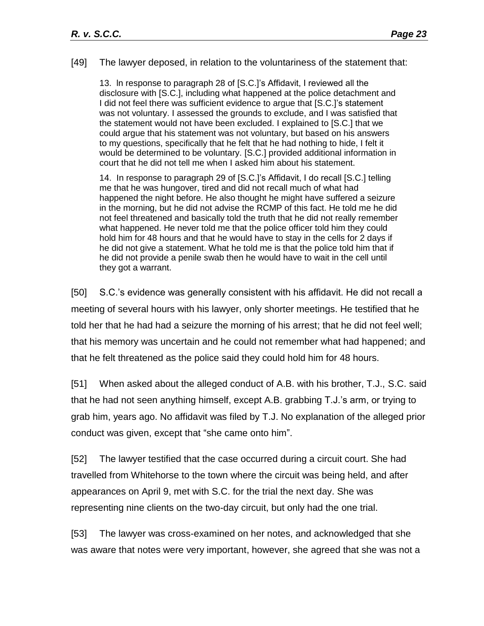[49] The lawyer deposed, in relation to the voluntariness of the statement that:

13. ln response to paragraph 28 of [S.C.]'s Affidavit, I reviewed all the disclosure with [S.C.], including what happened at the police detachment and I did not feel there was sufficient evidence to argue that [S.C.]'s statement was not voluntary. I assessed the grounds to exclude, and I was satisfied that the statement would not have been excluded. I explained to [S.C.] that we could argue that his statement was not voluntary, but based on his answers to my questions, specifically that he felt that he had nothing to hide, I felt it would be determined to be voluntary. [S.C.] provided additional information in court that he did not tell me when I asked him about his statement.

14. In response to paragraph 29 of [S.C.]'s Affidavit, I do recall [S.C.] telling me that he was hungover, tired and did not recall much of what had happened the night before. He also thought he might have suffered a seizure in the morning, but he did not advise the RCMP of this fact. He told me he did not feel threatened and basically told the truth that he did not really remember what happened. He never told me that the police officer told him they could hold him for 48 hours and that he would have to stay in the cells for 2 days if he did not give a statement. What he told me is that the police told him that if he did not provide a penile swab then he would have to wait in the cell until they got a warrant.

[50] S.C.'s evidence was generally consistent with his affidavit. He did not recall a meeting of several hours with his lawyer, only shorter meetings. He testified that he told her that he had had a seizure the morning of his arrest; that he did not feel well; that his memory was uncertain and he could not remember what had happened; and that he felt threatened as the police said they could hold him for 48 hours.

[51] When asked about the alleged conduct of A.B. with his brother, T.J., S.C. said that he had not seen anything himself, except A.B. grabbing T.J.'s arm, or trying to grab him, years ago. No affidavit was filed by T.J. No explanation of the alleged prior conduct was given, except that "she came onto him".

[52] The lawyer testified that the case occurred during a circuit court. She had travelled from Whitehorse to the town where the circuit was being held, and after appearances on April 9, met with S.C. for the trial the next day. She was representing nine clients on the two-day circuit, but only had the one trial.

[53] The lawyer was cross-examined on her notes, and acknowledged that she was aware that notes were very important, however, she agreed that she was not a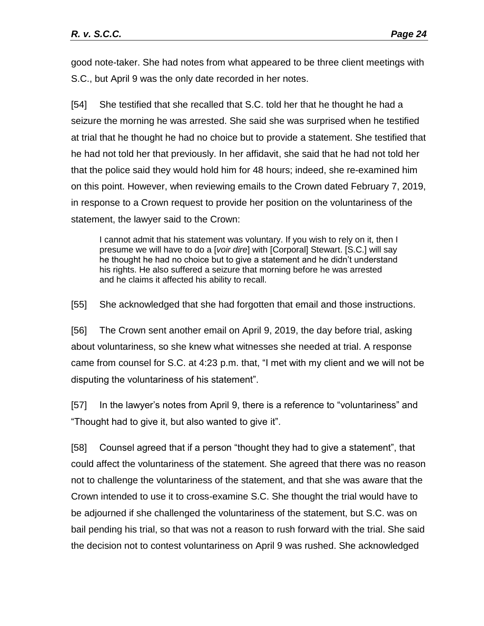good note-taker. She had notes from what appeared to be three client meetings with S.C., but April 9 was the only date recorded in her notes.

[54] She testified that she recalled that S.C. told her that he thought he had a seizure the morning he was arrested. She said she was surprised when he testified at trial that he thought he had no choice but to provide a statement. She testified that he had not told her that previously. In her affidavit, she said that he had not told her that the police said they would hold him for 48 hours; indeed, she re-examined him on this point. However, when reviewing emails to the Crown dated February 7, 2019, in response to a Crown request to provide her position on the voluntariness of the statement, the lawyer said to the Crown:

I cannot admit that his statement was voluntary. If you wish to rely on it, then I presume we will have to do a [*voir dire*] with [Corporal] Stewart. [S.C.] will say he thought he had no choice but to give a statement and he didn't understand his rights. He also suffered a seizure that morning before he was arrested and he claims it affected his ability to recall.

[55] She acknowledged that she had forgotten that email and those instructions.

[56] The Crown sent another email on April 9, 2019, the day before trial, asking about voluntariness, so she knew what witnesses she needed at trial. A response came from counsel for S.C. at 4:23 p.m. that, "I met with my client and we will not be disputing the voluntariness of his statement".

[57] In the lawyer's notes from April 9, there is a reference to "voluntariness" and "Thought had to give it, but also wanted to give it".

[58] Counsel agreed that if a person "thought they had to give a statement", that could affect the voluntariness of the statement. She agreed that there was no reason not to challenge the voluntariness of the statement, and that she was aware that the Crown intended to use it to cross-examine S.C. She thought the trial would have to be adjourned if she challenged the voluntariness of the statement, but S.C. was on bail pending his trial, so that was not a reason to rush forward with the trial. She said the decision not to contest voluntariness on April 9 was rushed. She acknowledged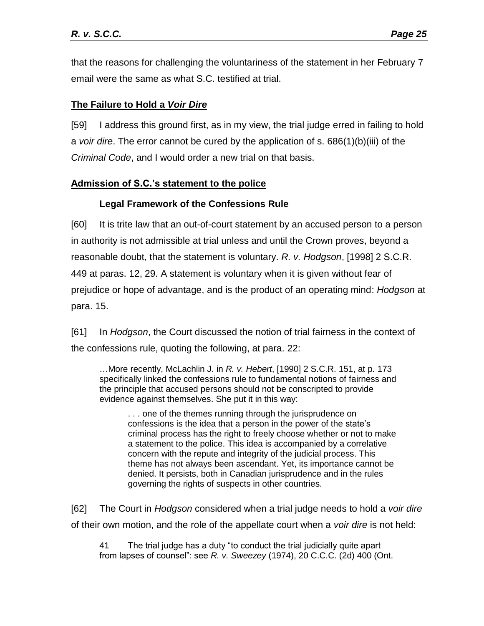that the reasons for challenging the voluntariness of the statement in her February 7 email were the same as what S.C. testified at trial.

## <span id="page-24-0"></span>**The Failure to Hold a** *Voir Dire*

[59] I address this ground first, as in my view, the trial judge erred in failing to hold a *voir dire*. The error cannot be cured by the application of s. 686(1)(b)(iii) of the *Criminal Code*, and I would order a new trial on that basis.

## <span id="page-24-1"></span>**Admission of S.C.'s statement to the police**

# **Legal Framework of the Confessions Rule**

<span id="page-24-2"></span>[60] It is trite law that an out-of-court statement by an accused person to a person in authority is not admissible at trial unless and until the Crown proves, beyond a reasonable doubt, that the statement is voluntary. *R. v. Hodgson*, [1998] 2 S.C.R. 449 at paras. 12, 29. A statement is voluntary when it is given without fear of prejudice or hope of advantage, and is the product of an operating mind: *Hodgson* at para. 15.

[61] In *Hodgson*, the Court discussed the notion of trial fairness in the context of the confessions rule, quoting the following, at para. 22:

…More recently, McLachlin J. in *R. v. Hebert*, [1990] 2 S.C.R. 151, at p. 173 specifically linked the confessions rule to fundamental notions of fairness and the principle that accused persons should not be conscripted to provide evidence against themselves. She put it in this way:

. . . one of the themes running through the jurisprudence on confessions is the idea that a person in the power of the state's criminal process has the right to freely choose whether or not to make a statement to the police. This idea is accompanied by a correlative concern with the repute and integrity of the judicial process. This theme has not always been ascendant. Yet, its importance cannot be denied. It persists, both in Canadian jurisprudence and in the rules governing the rights of suspects in other countries.

[62] The Court in *Hodgson* considered when a trial judge needs to hold a *voir dire* of their own motion, and the role of the appellate court when a *voir dire* is not held:

41 The trial judge has a duty "to conduct the trial judicially quite apart from lapses of counsel": see *R. v. Sweezey* (1974), 20 C.C.C. (2d) 400 (Ont.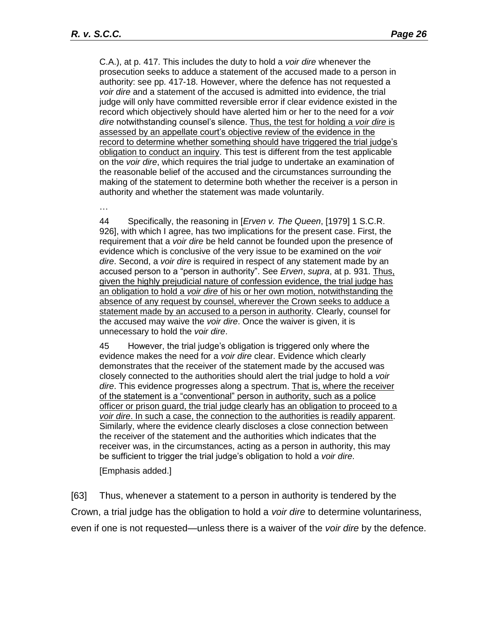C.A.), at p. 417. This includes the duty to hold a *voir dire* whenever the prosecution seeks to adduce a statement of the accused made to a person in authority: see pp. 417-18. However, where the defence has not requested a *voir dire* and a statement of the accused is admitted into evidence, the trial judge will only have committed reversible error if clear evidence existed in the record which objectively should have alerted him or her to the need for a *voir dire* notwithstanding counsel's silence. Thus, the test for holding a *voir dire* is assessed by an appellate court's objective review of the evidence in the record to determine whether something should have triggered the trial judge's obligation to conduct an inquiry. This test is different from the test applicable on the *voir dire*, which requires the trial judge to undertake an examination of the reasonable belief of the accused and the circumstances surrounding the making of the statement to determine both whether the receiver is a person in authority and whether the statement was made voluntarily.

…

44 Specifically, the reasoning in [*Erven v. The Queen*, [1979] 1 S.C.R. 926], with which I agree, has two implications for the present case. First, the requirement that a *voir dire* be held cannot be founded upon the presence of evidence which is conclusive of the very issue to be examined on the *voir dire*. Second, a *voir dire* is required in respect of any statement made by an accused person to a "person in authority". See *Erven*, *supra*, at p. 931. Thus, given the highly prejudicial nature of confession evidence, the trial judge has an obligation to hold a *voir dire* of his or her own motion, notwithstanding the absence of any request by counsel, wherever the Crown seeks to adduce a statement made by an accused to a person in authority. Clearly, counsel for the accused may waive the *voir dire*. Once the waiver is given, it is unnecessary to hold the *voir dire*.

45 However, the trial judge's obligation is triggered only where the evidence makes the need for a *voir dire* clear. Evidence which clearly demonstrates that the receiver of the statement made by the accused was closely connected to the authorities should alert the trial judge to hold a *voir dire*. This evidence progresses along a spectrum. That is, where the receiver of the statement is a "conventional" person in authority, such as a police officer or prison guard, the trial judge clearly has an obligation to proceed to a *voir dire*. In such a case, the connection to the authorities is readily apparent. Similarly, where the evidence clearly discloses a close connection between the receiver of the statement and the authorities which indicates that the receiver was, in the circumstances, acting as a person in authority, this may be sufficient to trigger the trial judge's obligation to hold a *voir dire*.

[Emphasis added.]

[63] Thus, whenever a statement to a person in authority is tendered by the Crown, a trial judge has the obligation to hold a *voir dire* to determine voluntariness, even if one is not requested—unless there is a waiver of the *voir dire* by the defence.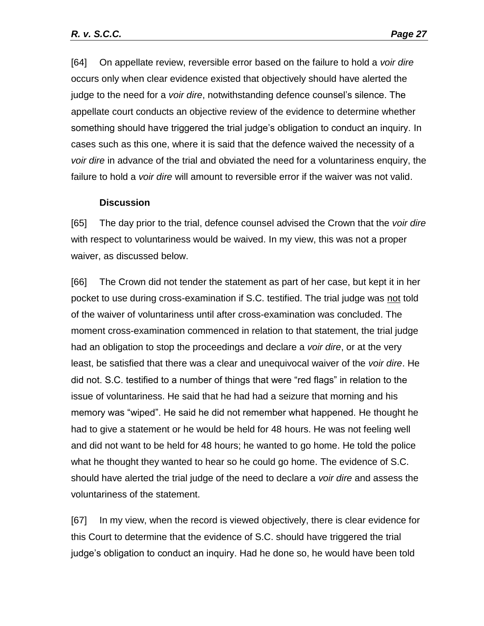[64] On appellate review, reversible error based on the failure to hold a *voir dire*  occurs only when clear evidence existed that objectively should have alerted the judge to the need for a *voir dire*, notwithstanding defence counsel's silence. The appellate court conducts an objective review of the evidence to determine whether something should have triggered the trial judge's obligation to conduct an inquiry. In cases such as this one, where it is said that the defence waived the necessity of a *voir dire* in advance of the trial and obviated the need for a voluntariness enquiry, the failure to hold a *voir dire* will amount to reversible error if the waiver was not valid.

#### **Discussion**

<span id="page-26-0"></span>[65] The day prior to the trial, defence counsel advised the Crown that the *voir dire* with respect to voluntariness would be waived. In my view, this was not a proper waiver, as discussed below.

[66] The Crown did not tender the statement as part of her case, but kept it in her pocket to use during cross-examination if S.C. testified. The trial judge was not told of the waiver of voluntariness until after cross-examination was concluded. The moment cross-examination commenced in relation to that statement, the trial judge had an obligation to stop the proceedings and declare a *voir dire*, or at the very least, be satisfied that there was a clear and unequivocal waiver of the *voir dire*. He did not. S.C. testified to a number of things that were "red flags" in relation to the issue of voluntariness. He said that he had had a seizure that morning and his memory was "wiped". He said he did not remember what happened. He thought he had to give a statement or he would be held for 48 hours. He was not feeling well and did not want to be held for 48 hours; he wanted to go home. He told the police what he thought they wanted to hear so he could go home. The evidence of S.C. should have alerted the trial judge of the need to declare a *voir dire* and assess the voluntariness of the statement.

[67] In my view, when the record is viewed objectively, there is clear evidence for this Court to determine that the evidence of S.C. should have triggered the trial judge's obligation to conduct an inquiry. Had he done so, he would have been told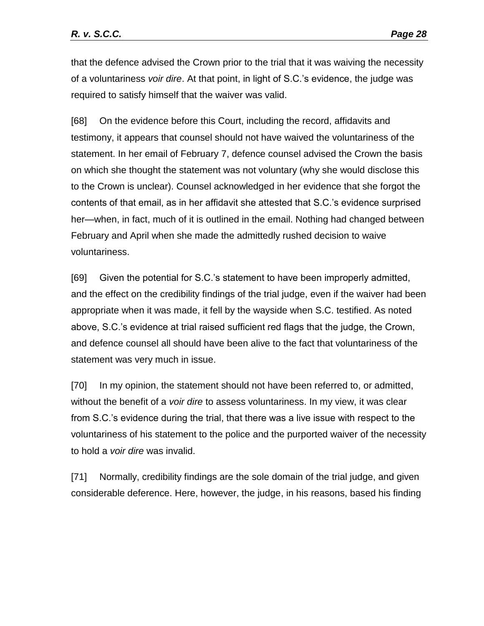that the defence advised the Crown prior to the trial that it was waiving the necessity of a voluntariness *voir dire*. At that point, in light of S.C.'s evidence, the judge was required to satisfy himself that the waiver was valid.

[68] On the evidence before this Court, including the record, affidavits and testimony, it appears that counsel should not have waived the voluntariness of the statement. In her email of February 7, defence counsel advised the Crown the basis on which she thought the statement was not voluntary (why she would disclose this to the Crown is unclear). Counsel acknowledged in her evidence that she forgot the contents of that email, as in her affidavit she attested that S.C.'s evidence surprised her—when, in fact, much of it is outlined in the email. Nothing had changed between February and April when she made the admittedly rushed decision to waive voluntariness.

[69] Given the potential for S.C.'s statement to have been improperly admitted, and the effect on the credibility findings of the trial judge, even if the waiver had been appropriate when it was made, it fell by the wayside when S.C. testified. As noted above, S.C.'s evidence at trial raised sufficient red flags that the judge, the Crown, and defence counsel all should have been alive to the fact that voluntariness of the statement was very much in issue.

[70] In my opinion, the statement should not have been referred to, or admitted, without the benefit of a *voir dire* to assess voluntariness. In my view, it was clear from S.C.'s evidence during the trial, that there was a live issue with respect to the voluntariness of his statement to the police and the purported waiver of the necessity to hold a *voir dire* was invalid.

[71] Normally, credibility findings are the sole domain of the trial judge, and given considerable deference. Here, however, the judge, in his reasons, based his finding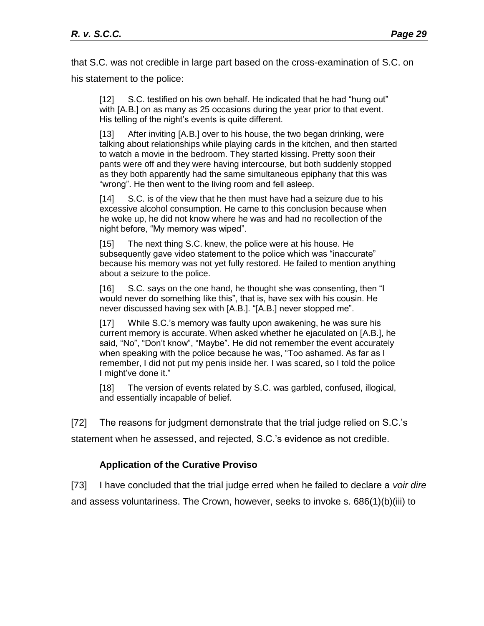that S.C. was not credible in large part based on the cross-examination of S.C. on his statement to the police:

[12] S.C. testified on his own behalf. He indicated that he had "hung out" with [A.B.] on as many as 25 occasions during the year prior to that event. His telling of the night's events is quite different.

[13] After inviting [A.B.] over to his house, the two began drinking, were talking about relationships while playing cards in the kitchen, and then started to watch a movie in the bedroom. They started kissing. Pretty soon their pants were off and they were having intercourse, but both suddenly stopped as they both apparently had the same simultaneous epiphany that this was "wrong". He then went to the living room and fell asleep.

[14] S.C. is of the view that he then must have had a seizure due to his excessive alcohol consumption. He came to this conclusion because when he woke up, he did not know where he was and had no recollection of the night before, "My memory was wiped".

[15] The next thing S.C. knew, the police were at his house. He subsequently gave video statement to the police which was "inaccurate" because his memory was not yet fully restored. He failed to mention anything about a seizure to the police.

[16] S.C. says on the one hand, he thought she was consenting, then "I would never do something like this", that is, have sex with his cousin. He never discussed having sex with [A.B.]. "[A.B.] never stopped me".

[17] While S.C.'s memory was faulty upon awakening, he was sure his current memory is accurate. When asked whether he ejaculated on [A.B.], he said, "No", "Don't know", "Maybe". He did not remember the event accurately when speaking with the police because he was, "Too ashamed. As far as I remember, I did not put my penis inside her. I was scared, so I told the police I might've done it."

[18] The version of events related by S.C. was garbled, confused, illogical, and essentially incapable of belief.

[72] The reasons for judgment demonstrate that the trial judge relied on S.C.'s

statement when he assessed, and rejected, S.C.'s evidence as not credible.

## **Application of the Curative Proviso**

<span id="page-28-0"></span>[73] I have concluded that the trial judge erred when he failed to declare a *voir dire* and assess voluntariness. The Crown, however, seeks to invoke s. 686(1)(b)(iii) to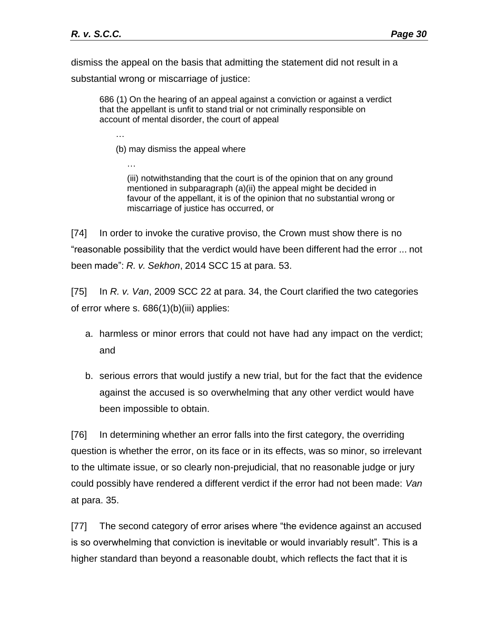…

…

dismiss the appeal on the basis that admitting the statement did not result in a substantial wrong or miscarriage of justice:

686 (1) On the hearing of an appeal against a conviction or against a verdict that the appellant is unfit to stand trial or not criminally responsible on account of mental disorder, the court of appeal

(b) may dismiss the appeal where

(iii) notwithstanding that the court is of the opinion that on any ground mentioned in subparagraph (a)(ii) the appeal might be decided in favour of the appellant, it is of the opinion that no substantial wrong or miscarriage of justice has occurred, or

[74] In order to invoke the curative proviso, the Crown must show there is no "reasonable possibility that the verdict would have been different had the error ... not been made": *R. v. Sekhon*, 2014 SCC 15 at para. 53.

[75] In *R. v. Van*, 2009 SCC 22 at para. 34, the Court clarified the two categories of error where s. 686(1)(b)(iii) applies:

- a. harmless or minor errors that could not have had any impact on the verdict; and
- b. serious errors that would justify a new trial, but for the fact that the evidence against the accused is so overwhelming that any other verdict would have been impossible to obtain.

[76] In determining whether an error falls into the first category, the overriding question is whether the error, on its face or in its effects, was so minor, so irrelevant to the ultimate issue, or so clearly non-prejudicial, that no reasonable judge or jury could possibly have rendered a different verdict if the error had not been made: *Van* at para. 35.

[77] The second category of error arises where "the evidence against an accused is so overwhelming that conviction is inevitable or would invariably result". This is a higher standard than beyond a reasonable doubt, which reflects the fact that it is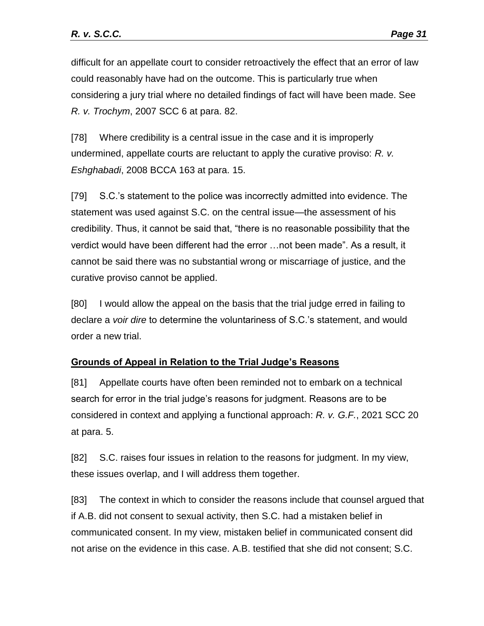difficult for an appellate court to consider retroactively the effect that an error of law could reasonably have had on the outcome. This is particularly true when considering a jury trial where no detailed findings of fact will have been made. See *R. v. Trochym*, 2007 SCC 6 at para. 82.

[78] Where credibility is a central issue in the case and it is improperly undermined, appellate courts are reluctant to apply the curative proviso: *R. v. Eshghabadi*, 2008 BCCA 163 at para. 15.

[79] S.C.'s statement to the police was incorrectly admitted into evidence. The statement was used against S.C. on the central issue—the assessment of his credibility. Thus, it cannot be said that, "there is no reasonable possibility that the verdict would have been different had the error …not been made". As a result, it cannot be said there was no substantial wrong or miscarriage of justice, and the curative proviso cannot be applied.

[80] I would allow the appeal on the basis that the trial judge erred in failing to declare a *voir dire* to determine the voluntariness of S.C.'s statement, and would order a new trial.

## <span id="page-30-0"></span>**Grounds of Appeal in Relation to the Trial Judge's Reasons**

[81] Appellate courts have often been reminded not to embark on a technical search for error in the trial judge's reasons for judgment. Reasons are to be considered in context and applying a functional approach: *R. v. G.F.*, 2021 SCC 20 at para. 5.

[82] S.C. raises four issues in relation to the reasons for judgment. In my view, these issues overlap, and I will address them together.

[83] The context in which to consider the reasons include that counsel argued that if A.B. did not consent to sexual activity, then S.C. had a mistaken belief in communicated consent. In my view, mistaken belief in communicated consent did not arise on the evidence in this case. A.B. testified that she did not consent; S.C.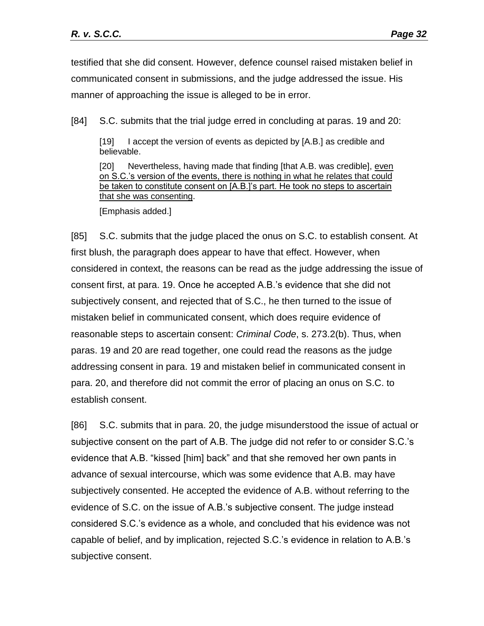testified that she did consent. However, defence counsel raised mistaken belief in communicated consent in submissions, and the judge addressed the issue. His manner of approaching the issue is alleged to be in error.

[84] S.C. submits that the trial judge erred in concluding at paras. 19 and 20:

[19] I accept the version of events as depicted by [A.B.] as credible and believable.

[20] Nevertheless, having made that finding [that A.B. was credible], even on S.C.'s version of the events, there is nothing in what he relates that could be taken to constitute consent on [A.B.]'s part. He took no steps to ascertain that she was consenting.

[Emphasis added.]

[85] S.C. submits that the judge placed the onus on S.C. to establish consent. At first blush, the paragraph does appear to have that effect. However, when considered in context, the reasons can be read as the judge addressing the issue of consent first, at para. 19. Once he accepted A.B.'s evidence that she did not subjectively consent, and rejected that of S.C., he then turned to the issue of mistaken belief in communicated consent, which does require evidence of reasonable steps to ascertain consent: *Criminal Code*, s. 273.2(b). Thus, when paras. 19 and 20 are read together, one could read the reasons as the judge addressing consent in para. 19 and mistaken belief in communicated consent in para. 20, and therefore did not commit the error of placing an onus on S.C. to establish consent.

[86] S.C. submits that in para. 20, the judge misunderstood the issue of actual or subjective consent on the part of A.B. The judge did not refer to or consider S.C.'s evidence that A.B. "kissed [him] back" and that she removed her own pants in advance of sexual intercourse, which was some evidence that A.B. may have subjectively consented. He accepted the evidence of A.B. without referring to the evidence of S.C. on the issue of A.B.'s subjective consent. The judge instead considered S.C.'s evidence as a whole, and concluded that his evidence was not capable of belief, and by implication, rejected S.C.'s evidence in relation to A.B.'s subjective consent.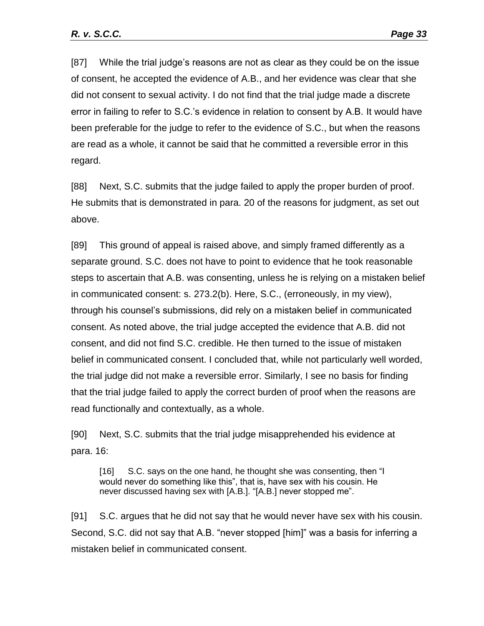[87] While the trial judge's reasons are not as clear as they could be on the issue of consent, he accepted the evidence of A.B., and her evidence was clear that she did not consent to sexual activity. I do not find that the trial judge made a discrete error in failing to refer to S.C.'s evidence in relation to consent by A.B. It would have been preferable for the judge to refer to the evidence of S.C., but when the reasons are read as a whole, it cannot be said that he committed a reversible error in this regard.

[88] Next, S.C. submits that the judge failed to apply the proper burden of proof. He submits that is demonstrated in para. 20 of the reasons for judgment, as set out above.

[89] This ground of appeal is raised above, and simply framed differently as a separate ground. S.C. does not have to point to evidence that he took reasonable steps to ascertain that A.B. was consenting, unless he is relying on a mistaken belief in communicated consent: s. 273.2(b). Here, S.C., (erroneously, in my view), through his counsel's submissions, did rely on a mistaken belief in communicated consent. As noted above, the trial judge accepted the evidence that A.B. did not consent, and did not find S.C. credible. He then turned to the issue of mistaken belief in communicated consent. I concluded that, while not particularly well worded, the trial judge did not make a reversible error. Similarly, I see no basis for finding that the trial judge failed to apply the correct burden of proof when the reasons are read functionally and contextually, as a whole.

[90] Next, S.C. submits that the trial judge misapprehended his evidence at para. 16:

[16] S.C. says on the one hand, he thought she was consenting, then "I would never do something like this", that is, have sex with his cousin. He never discussed having sex with [A.B.]. "[A.B.] never stopped me".

[91] S.C. argues that he did not say that he would never have sex with his cousin. Second, S.C. did not say that A.B. "never stopped [him]" was a basis for inferring a mistaken belief in communicated consent.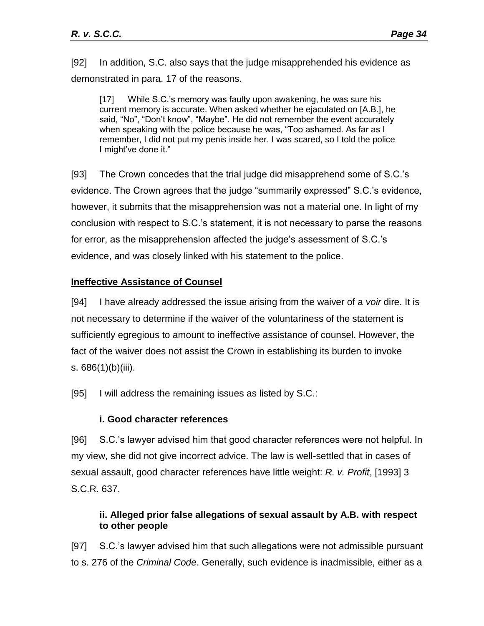[92] In addition, S.C. also says that the judge misapprehended his evidence as demonstrated in para. 17 of the reasons.

[17] While S.C.'s memory was faulty upon awakening, he was sure his current memory is accurate. When asked whether he ejaculated on [A.B.], he said, "No", "Don't know", "Maybe". He did not remember the event accurately when speaking with the police because he was, "Too ashamed. As far as I remember, I did not put my penis inside her. I was scared, so I told the police I might've done it."

[93] The Crown concedes that the trial judge did misapprehend some of S.C.'s evidence. The Crown agrees that the judge "summarily expressed" S.C.'s evidence, however, it submits that the misapprehension was not a material one. In light of my conclusion with respect to S.C.'s statement, it is not necessary to parse the reasons for error, as the misapprehension affected the judge's assessment of S.C.'s evidence, and was closely linked with his statement to the police.

#### <span id="page-33-0"></span>**Ineffective Assistance of Counsel**

[94] I have already addressed the issue arising from the waiver of a *voir* dire. It is not necessary to determine if the waiver of the voluntariness of the statement is sufficiently egregious to amount to ineffective assistance of counsel. However, the fact of the waiver does not assist the Crown in establishing its burden to invoke s. 686(1)(b)(iii).

[95] I will address the remaining issues as listed by S.C.:

#### **i. Good character references**

<span id="page-33-1"></span>[96] S.C.'s lawyer advised him that good character references were not helpful. In my view, she did not give incorrect advice. The law is well-settled that in cases of sexual assault, good character references have little weight: *R. v. Profit*, [1993] 3 S.C.R. 637.

## <span id="page-33-2"></span>**ii. Alleged prior false allegations of sexual assault by A.B. with respect to other people**

[97] S.C.'s lawyer advised him that such allegations were not admissible pursuant to s. 276 of the *Criminal Code*. Generally, such evidence is inadmissible, either as a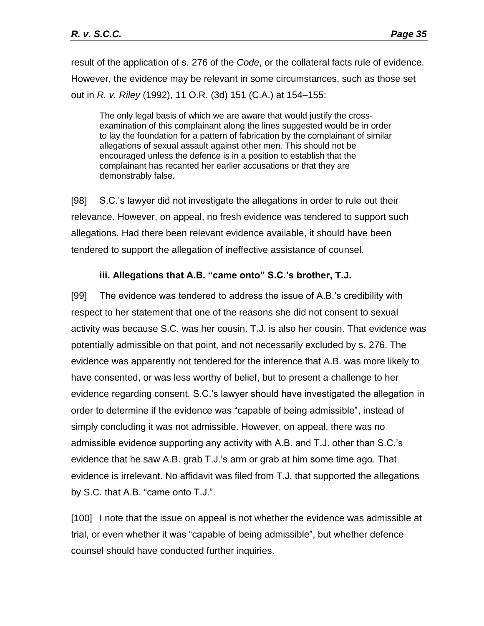result of the application of s. 276 of the *Code*, or the collateral facts rule of evidence. However, the evidence may be relevant in some circumstances, such as those set out in *R. v. Riley* (1992), 11 O.R. (3d) 151 (C.A.) at 154–155:

The only legal basis of which we are aware that would justify the crossexamination of this complainant along the lines suggested would be in order to lay the foundation for a pattern of fabrication by the complainant of similar allegations of sexual assault against other men. This should not be encouraged unless the defence is in a position to establish that the complainant has recanted her earlier accusations or that they are demonstrably false.

[98] S.C.'s lawyer did not investigate the allegations in order to rule out their relevance. However, on appeal, no fresh evidence was tendered to support such allegations. Had there been relevant evidence available, it should have been tendered to support the allegation of ineffective assistance of counsel.

## **iii. Allegations that A.B. "came onto" S.C.'s brother, T.J.**

<span id="page-34-0"></span>[99] The evidence was tendered to address the issue of A.B.'s credibility with respect to her statement that one of the reasons she did not consent to sexual activity was because S.C. was her cousin. T.J. is also her cousin. That evidence was potentially admissible on that point, and not necessarily excluded by s. 276. The evidence was apparently not tendered for the inference that A.B. was more likely to have consented, or was less worthy of belief, but to present a challenge to her evidence regarding consent. S.C.'s lawyer should have investigated the allegation in order to determine if the evidence was "capable of being admissible", instead of simply concluding it was not admissible. However, on appeal, there was no admissible evidence supporting any activity with A.B. and T.J. other than S.C.'s evidence that he saw A.B. grab T.J.'s arm or grab at him some time ago. That evidence is irrelevant. No affidavit was filed from T.J. that supported the allegations by S.C. that A.B. "came onto T.J.".

[100] I note that the issue on appeal is not whether the evidence was admissible at trial, or even whether it was "capable of being admissible", but whether defence counsel should have conducted further inquiries.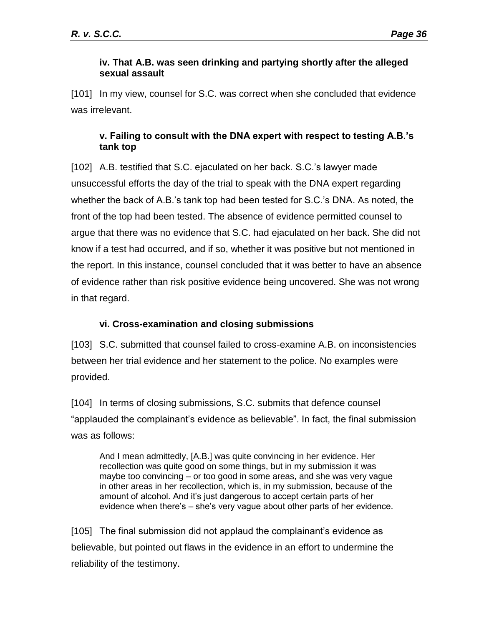#### <span id="page-35-0"></span>**iv. That A.B. was seen drinking and partying shortly after the alleged sexual assault**

[101] In my view, counsel for S.C. was correct when she concluded that evidence was irrelevant.

## <span id="page-35-1"></span>**v. Failing to consult with the DNA expert with respect to testing A.B.'s tank top**

[102] A.B. testified that S.C. ejaculated on her back. S.C.'s lawyer made unsuccessful efforts the day of the trial to speak with the DNA expert regarding whether the back of A.B.'s tank top had been tested for S.C.'s DNA. As noted, the front of the top had been tested. The absence of evidence permitted counsel to argue that there was no evidence that S.C. had ejaculated on her back. She did not know if a test had occurred, and if so, whether it was positive but not mentioned in the report. In this instance, counsel concluded that it was better to have an absence of evidence rather than risk positive evidence being uncovered. She was not wrong in that regard.

# **vi. Cross-examination and closing submissions**

<span id="page-35-2"></span>[103] S.C. submitted that counsel failed to cross-examine A.B. on inconsistencies between her trial evidence and her statement to the police. No examples were provided.

[104] In terms of closing submissions, S.C. submits that defence counsel "applauded the complainant's evidence as believable". In fact, the final submission was as follows:

And I mean admittedly, [A.B.] was quite convincing in her evidence. Her recollection was quite good on some things, but in my submission it was maybe too convincing – or too good in some areas, and she was very vague in other areas in her recollection, which is, in my submission, because of the amount of alcohol. And it's just dangerous to accept certain parts of her evidence when there's – she's very vague about other parts of her evidence.

[105] The final submission did not applaud the complainant's evidence as believable, but pointed out flaws in the evidence in an effort to undermine the reliability of the testimony.